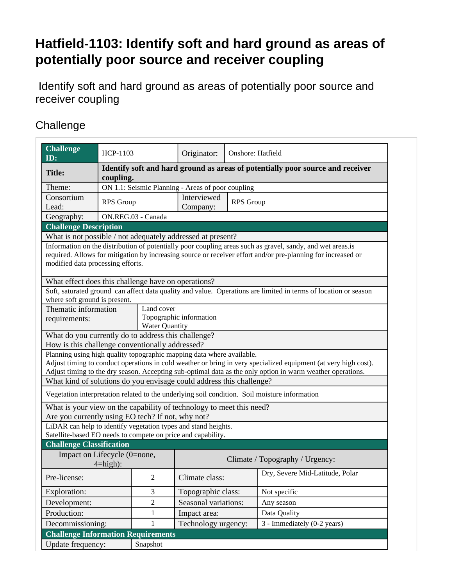## **Hatfield-1103: Identify soft and hard ground as areas of potentially poor source and receiver coupling**

 Identify soft and hard ground as areas of potentially poor source and receiver coupling

## **Challenge**

| <b>Challenge</b><br>ID:                                               | HCP-1103                                                                                    |                         | Originator:                                 | <b>Onshore: Hatfield</b> |                                                                                                                                                                                                                               |  |  |
|-----------------------------------------------------------------------|---------------------------------------------------------------------------------------------|-------------------------|---------------------------------------------|--------------------------|-------------------------------------------------------------------------------------------------------------------------------------------------------------------------------------------------------------------------------|--|--|
| <b>Title:</b>                                                         | Identify soft and hard ground as areas of potentially poor source and receiver<br>coupling. |                         |                                             |                          |                                                                                                                                                                                                                               |  |  |
| Theme:                                                                | ON 1.1: Seismic Planning - Areas of poor coupling                                           |                         |                                             |                          |                                                                                                                                                                                                                               |  |  |
| Consortium<br>Lead:                                                   | <b>RPS</b> Group                                                                            |                         | Interviewed<br><b>RPS</b> Group<br>Company: |                          |                                                                                                                                                                                                                               |  |  |
| Geography:                                                            | ON.REG.03 - Canada                                                                          |                         |                                             |                          |                                                                                                                                                                                                                               |  |  |
| <b>Challenge Description</b>                                          |                                                                                             |                         |                                             |                          |                                                                                                                                                                                                                               |  |  |
| What is not possible / not adequately addressed at present?           |                                                                                             |                         |                                             |                          |                                                                                                                                                                                                                               |  |  |
| modified data processing efforts.                                     |                                                                                             |                         |                                             |                          | Information on the distribution of potentially poor coupling areas such as gravel, sandy, and wet areas.is<br>required. Allows for mitigation by increasing source or receiver effort and/or pre-planning for increased or    |  |  |
| What effect does this challenge have on operations?                   |                                                                                             |                         |                                             |                          |                                                                                                                                                                                                                               |  |  |
| where soft ground is present.                                         |                                                                                             |                         |                                             |                          | Soft, saturated ground can affect data quality and value. Operations are limited in terms of location or season                                                                                                               |  |  |
| Thematic information                                                  |                                                                                             | Land cover              |                                             |                          |                                                                                                                                                                                                                               |  |  |
| requirements:                                                         |                                                                                             | Topographic information |                                             |                          |                                                                                                                                                                                                                               |  |  |
|                                                                       |                                                                                             |                         | Water Quantity                              |                          |                                                                                                                                                                                                                               |  |  |
| What do you currently do to address this challenge?                   |                                                                                             |                         |                                             |                          |                                                                                                                                                                                                                               |  |  |
| How is this challenge conventionally addressed?                       |                                                                                             |                         |                                             |                          |                                                                                                                                                                                                                               |  |  |
| Planning using high quality topographic mapping data where available. |                                                                                             |                         |                                             |                          | Adjust timing to conduct operations in cold weather or bring in very specialized equipment (at very high cost).<br>Adjust timing to the dry season. Accepting sub-optimal data as the only option in warm weather operations. |  |  |
| What kind of solutions do you envisage could address this challenge?  |                                                                                             |                         |                                             |                          |                                                                                                                                                                                                                               |  |  |
|                                                                       |                                                                                             |                         |                                             |                          | Vegetation interpretation related to the underlying soil condition. Soil moisture information                                                                                                                                 |  |  |
| What is your view on the capability of technology to meet this need?  |                                                                                             |                         |                                             |                          |                                                                                                                                                                                                                               |  |  |
| Are you currently using EO tech? If not, why not?                     |                                                                                             |                         |                                             |                          |                                                                                                                                                                                                                               |  |  |
| LiDAR can help to identify vegetation types and stand heights.        |                                                                                             |                         |                                             |                          |                                                                                                                                                                                                                               |  |  |
| Satellite-based EO needs to compete on price and capability.          |                                                                                             |                         |                                             |                          |                                                                                                                                                                                                                               |  |  |
| <b>Challenge Classification</b>                                       |                                                                                             |                         |                                             |                          |                                                                                                                                                                                                                               |  |  |
| Impact on Lifecycle (0=none,<br>$4 = high$ :                          |                                                                                             |                         | Climate / Topography / Urgency:             |                          |                                                                                                                                                                                                                               |  |  |
|                                                                       |                                                                                             |                         |                                             |                          | Dry, Severe Mid-Latitude, Polar                                                                                                                                                                                               |  |  |
| Pre-license:                                                          |                                                                                             | $\overline{2}$          | Climate class:                              |                          |                                                                                                                                                                                                                               |  |  |
| Exploration:                                                          | 3                                                                                           |                         | Topographic class:                          |                          | Not specific                                                                                                                                                                                                                  |  |  |
| Development:                                                          | $\overline{2}$                                                                              |                         | Seasonal variations:                        |                          | Any season                                                                                                                                                                                                                    |  |  |
| Production:                                                           |                                                                                             | 1                       | Impact area:                                |                          | Data Quality                                                                                                                                                                                                                  |  |  |
|                                                                       | Decommissioning:                                                                            |                         | Technology urgency:                         |                          | 3 - Immediately (0-2 years)                                                                                                                                                                                                   |  |  |
| <b>Challenge Information Requirements</b>                             |                                                                                             |                         |                                             |                          |                                                                                                                                                                                                                               |  |  |
| Update frequency:                                                     |                                                                                             | Snapshot                |                                             |                          |                                                                                                                                                                                                                               |  |  |